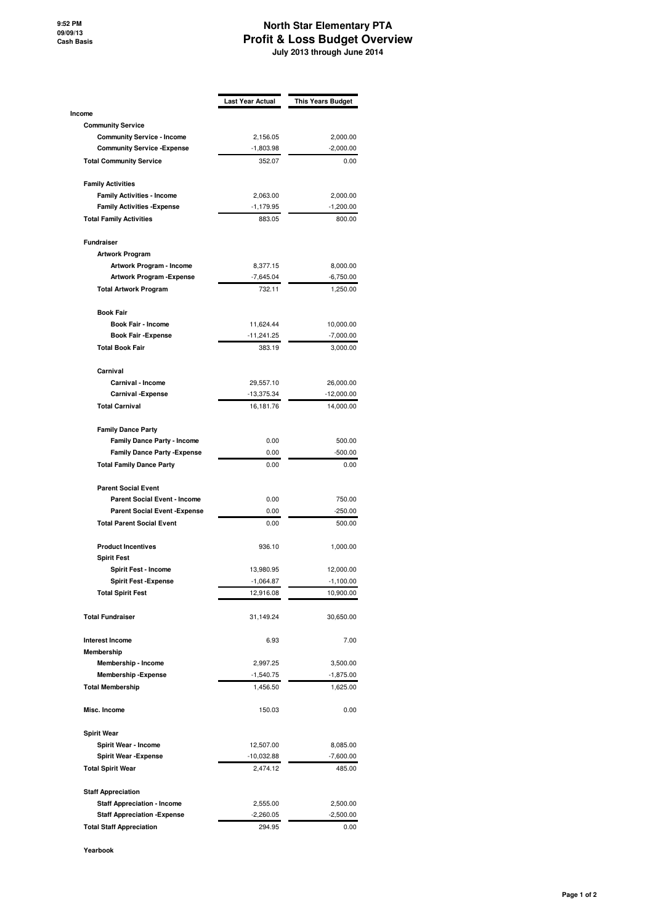## **North Star Elementary PTA Profit & Loss Budget Overview July 2013 through June 2014**

|                                      | <b>Last Year Actual</b> | <b>This Years Budget</b> |  |
|--------------------------------------|-------------------------|--------------------------|--|
| Income<br><b>Community Service</b>   |                         |                          |  |
| <b>Community Service - Income</b>    | 2,156.05                | 2,000.00                 |  |
| <b>Community Service - Expense</b>   | $-1,803.98$             | $-2,000.00$              |  |
| <b>Total Community Service</b>       | 352.07                  | 0.00                     |  |
|                                      |                         |                          |  |
| <b>Family Activities</b>             |                         |                          |  |
| <b>Family Activities - Income</b>    | 2,063.00                | 2,000.00                 |  |
| <b>Family Activities -Expense</b>    | $-1,179.95$             | $-1,200.00$              |  |
| <b>Total Family Activities</b>       | 883.05                  | 800.00                   |  |
| <b>Fundraiser</b>                    |                         |                          |  |
| <b>Artwork Program</b>               |                         |                          |  |
| Artwork Program - Income             | 8,377.15                | 8,000.00                 |  |
| <b>Artwork Program - Expense</b>     | $-7,645.04$             | $-6,750.00$              |  |
| <b>Total Artwork Program</b>         | 732.11                  | 1,250.00                 |  |
| <b>Book Fair</b>                     |                         |                          |  |
| Book Fair - Income                   | 11,624.44               | 10,000.00                |  |
| <b>Book Fair - Expense</b>           | $-11,241.25$            | $-7,000.00$              |  |
| <b>Total Book Fair</b>               | 383.19                  | 3,000.00                 |  |
| Carnival                             |                         |                          |  |
| Carnival - Income                    | 29,557.10               | 26,000.00                |  |
| <b>Carnival - Expense</b>            | $-13,375.34$            | $-12,000.00$             |  |
| <b>Total Carnival</b>                | 16,181.76               | 14,000.00                |  |
| <b>Family Dance Party</b>            |                         |                          |  |
| <b>Family Dance Party - Income</b>   | 0.00                    | 500.00                   |  |
| <b>Family Dance Party - Expense</b>  | 0.00                    | $-500.00$                |  |
| <b>Total Family Dance Party</b>      | 0.00                    | 0.00                     |  |
| <b>Parent Social Event</b>           |                         |                          |  |
| <b>Parent Social Event - Income</b>  | 0.00                    | 750.00                   |  |
| <b>Parent Social Event - Expense</b> | 0.00                    | $-250.00$                |  |
| <b>Total Parent Social Event</b>     | 0.00                    | 500.00                   |  |
| <b>Product Incentives</b>            | 936.10                  | 1,000.00                 |  |
| <b>Spirit Fest</b>                   |                         |                          |  |
| Spirit Fest - Income                 | 13,980.95               | 12,000.00                |  |
| <b>Spirit Fest - Expense</b>         | $-1,064.87$             | $-1,100.00$              |  |
| <b>Total Spirit Fest</b>             | 12,916.08               | 10,900.00                |  |
| <b>Total Fundraiser</b>              | 31,149.24               | 30,650.00                |  |
| <b>Interest Income</b>               | 6.93                    | 7.00                     |  |
| Membership                           |                         |                          |  |
| Membership - Income                  | 2,997.25                | 3,500.00                 |  |
| <b>Membership -Expense</b>           | $-1,540.75$             | $-1,875.00$              |  |
| <b>Total Membership</b>              | 1,456.50                | 1,625.00                 |  |
| Misc. Income                         | 150.03                  | 0.00                     |  |
| <b>Spirit Wear</b>                   |                         |                          |  |
| Spirit Wear - Income                 | 12,507.00               | 8,085.00                 |  |
| <b>Spirit Wear - Expense</b>         | $-10,032.88$            | $-7,600.00$              |  |
| <b>Total Spirit Wear</b>             | 2,474.12                | 485.00                   |  |
| <b>Staff Appreciation</b>            |                         |                          |  |
| <b>Staff Appreciation - Income</b>   | 2,555.00                | 2,500.00                 |  |
| <b>Staff Appreciation - Expense</b>  | $-2,260.05$             | $-2,500.00$              |  |
| <b>Total Staff Appreciation</b>      |                         |                          |  |

**Yearbook**